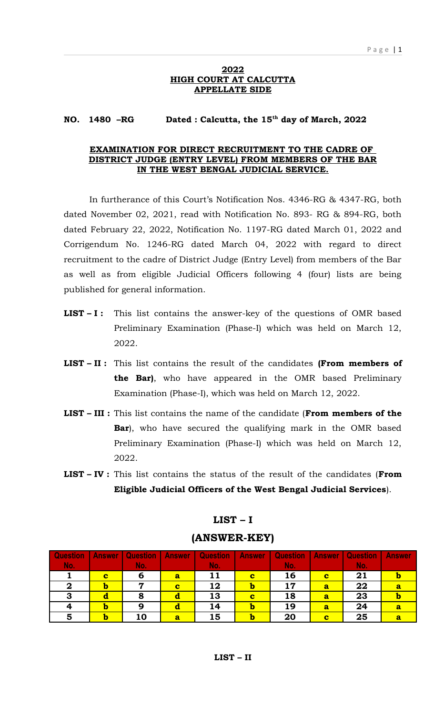#### **2022 HIGH COURT AT CALCUTTA APPELLATE SIDE**

#### **NO. 1480 –RG Dated : Calcutta, the 15th day of March, 2022**

#### **EXAMINATION FOR DIRECT RECRUITMENT TO THE CADRE OF DISTRICT JUDGE (ENTRY LEVEL) FROM MEMBERS OF THE BAR IN THE WEST BENGAL JUDICIAL SERVICE.**

In furtherance of this Court's Notification Nos. 4346-RG & 4347-RG, both dated November 02, 2021, read with Notification No. 893- RG & 894-RG, both dated February 22, 2022, Notification No. 1197-RG dated March 01, 2022 and Corrigendum No. 1246-RG dated March 04, 2022 with regard to direct recruitment to the cadre of District Judge (Entry Level) from members of the Bar as well as from eligible Judicial Officers following 4 (four) lists are being published for general information.

- **LIST I :** This list contains the answer-key of the questions of OMR based Preliminary Examination (Phase-I) which was held on March 12, 2022.
- **LIST II :** This list contains the result of the candidates **(From members of the Bar)**, who have appeared in the OMR based Preliminary Examination (Phase-I), which was held on March 12, 2022.
- **LIST III :** This list contains the name of the candidate (**From members of the Bar**), who have secured the qualifying mark in the OMR based Preliminary Examination (Phase-I) which was held on March 12, 2022.
- **LIST IV :** This list contains the status of the result of the candidates (**From Eligible Judicial Officers of the West Bengal Judicial Services**).

| <b>Question</b> | <b>Answer</b> | <b>Question</b> | <b>Answer</b> | <b>Question</b> | <b>Answer</b> | <b>Question</b> | <b>Answer</b> | <b>Question</b> | <b>Answer</b> |
|-----------------|---------------|-----------------|---------------|-----------------|---------------|-----------------|---------------|-----------------|---------------|
| No.             |               | No.             |               | No.             |               | No.             |               | No.             |               |
|                 | C             | 6               | a             |                 | c             | 16              | C             | 21              |               |
|                 | b             |                 | c             | 12              |               | 17              | a             | 22              |               |
| っ               |               | O               |               | 13              | C             | 18              | a             | 23              |               |
|                 | b             | 9               |               | 14              |               | 19              | a             | 24              |               |
|                 | D             | 10              | a             | 15              |               | 20              | C             | 25              |               |

### **LIST – I**

### **(ANSWER-KEY)**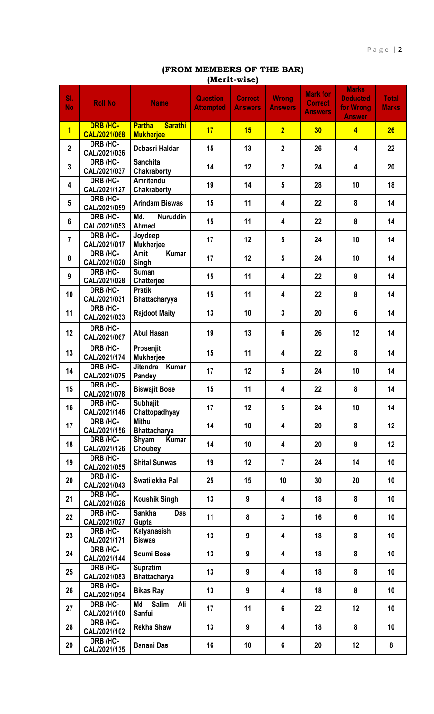# **(FROM MEMBERS OF THE BAR) (Merit-wise)**

| SI.<br><b>No</b> | <b>Roll No</b>                  | <b>Name</b>                                         | <b>Question</b><br><b>Attempted</b> | <b>Correct</b><br><b>Answers</b> | <b>Wrong</b><br><b>Answers</b> | <b>Mark for</b><br><b>Correct</b><br><b>Answers</b> | <b>Marks</b><br><b>Deducted</b><br>for Wrong<br><b>Answer</b> | <b>Total</b><br><b>Marks</b> |
|------------------|---------------------------------|-----------------------------------------------------|-------------------------------------|----------------------------------|--------------------------------|-----------------------------------------------------|---------------------------------------------------------------|------------------------------|
| $\overline{1}$   | <b>DRB /HC-</b><br>CAL/2021/068 | <b>Sarathi</b><br><b>Partha</b><br><b>Mukherjee</b> | 17                                  | 15                               | $\overline{2}$                 | 30                                                  | $\overline{4}$                                                | 26                           |
| $\mathbf{2}$     | DRB /HC-<br>CAL/2021/036        | Debasri Haldar                                      | 15                                  | 13                               | $\overline{2}$                 | 26                                                  | $\overline{\mathbf{4}}$                                       | 22                           |
| $\mathbf{3}$     | <b>DRB /HC-</b><br>CAL/2021/037 | <b>Sanchita</b><br>Chakraborty                      | 14                                  | 12                               | $\overline{\mathbf{2}}$        | 24                                                  | 4                                                             | 20                           |
| 4                | DRB /HC-<br>CAL/2021/127        | Amritendu<br>Chakraborty                            | 19                                  | 14                               | $5\phantom{1}$                 | 28                                                  | 10                                                            | 18                           |
| $5\phantom{.0}$  | DRB /HC-<br>CAL/2021/059        | <b>Arindam Biswas</b>                               | 15                                  | 11                               | 4                              | 22                                                  | 8                                                             | 14                           |
| $6\phantom{a}$   | DRB /HC-<br>CAL/2021/053        | Md.<br><b>Nuruddin</b><br>Ahmed                     | 15                                  | 11                               | 4                              | 22                                                  | 8                                                             | 14                           |
| $\overline{7}$   | DRB /HC-<br>CAL/2021/017        | Joydeep<br><b>Mukherjee</b>                         | 17                                  | 12                               | $5\phantom{.0}$                | 24                                                  | 10                                                            | 14                           |
| 8                | DRB /HC-<br>CAL/2021/020        | Kumar<br>Amit<br>Singh                              | 17                                  | 12                               | $5\phantom{.0}$                | 24                                                  | 10                                                            | 14                           |
| $\boldsymbol{9}$ | DRB /HC-<br>CAL/2021/028        | <b>Suman</b><br>Chatterjee                          | 15                                  | 11                               | 4                              | 22                                                  | 8                                                             | 14                           |
| 10               | DRB /HC-<br>CAL/2021/031        | <b>Pratik</b><br>Bhattacharyya                      | 15                                  | 11                               | 4                              | 22                                                  | 8                                                             | 14                           |
| 11               | DRB /HC-<br>CAL/2021/033        | <b>Rajdoot Maity</b>                                | 13                                  | 10                               | $\mathbf{3}$                   | 20                                                  | $6\phantom{a}$                                                | 14                           |
| 12 <sup>°</sup>  | DRB /HC-<br>CAL/2021/067        | <b>Abul Hasan</b>                                   | 19                                  | 13                               | 6                              | 26                                                  | 12                                                            | 14                           |
| 13               | DRB /HC-<br>CAL/2021/174        | Prosenjit<br><b>Mukherjee</b>                       | 15                                  | 11                               | 4                              | 22                                                  | 8                                                             | 14                           |
| 14               | DRB /HC-<br>CAL/2021/075        | Jitendra Kumar<br>Pandey                            | 17                                  | 12                               | $5\phantom{1}$                 | 24                                                  | 10                                                            | 14                           |
| 15               | DRB /HC-<br>CAL/2021/078        | <b>Biswajit Bose</b>                                | 15                                  | 11                               | 4                              | 22                                                  | 8                                                             | 14                           |
| 16               | DRB /HC-<br>CAL/2021/146        | <b>Subhajit</b><br>Chattopadhyay                    | 17                                  | 12                               | 5                              | 24                                                  | 10                                                            | 14                           |
| 17               | DRB /HC-<br>CAL/2021/156        | <b>Mithu</b><br><b>Bhattacharya</b>                 | 14                                  | 10                               | 4                              | 20                                                  | 8                                                             | 12                           |
| 18               | DRB /HC-<br>CAL/2021/126        | Shyam<br><b>Kumar</b><br>Choubey                    | 14                                  | 10                               | 4                              | 20                                                  | 8                                                             | 12                           |
| 19               | DRB /HC-<br>CAL/2021/055        | <b>Shital Sunwas</b>                                | 19                                  | 12                               | $\overline{7}$                 | 24                                                  | 14                                                            | 10                           |
| 20               | DRB /HC-<br>CAL/2021/043        | Swatilekha Pal                                      | 25                                  | 15                               | 10                             | 30                                                  | 20                                                            | 10                           |
| 21               | DRB /HC-<br>CAL/2021/026        | <b>Koushik Singh</b>                                | 13                                  | 9                                | 4                              | 18                                                  | 8                                                             | 10                           |
| 22               | DRB /HC-<br>CAL/2021/027        | <b>Sankha</b><br>Das<br>Gupta                       | 11                                  | 8                                | $\mathbf{3}$                   | 16                                                  | 6                                                             | 10                           |
| 23               | DRB /HC-<br>CAL/2021/171        | Kalyanasish<br><b>Biswas</b>                        | 13                                  | 9                                | 4                              | 18                                                  | 8                                                             | 10                           |
| 24               | DRB /HC-<br>CAL/2021/144        | Soumi Bose                                          | 13                                  | 9                                | 4                              | 18                                                  | 8                                                             | 10                           |
| 25               | DRB /HC-<br>CAL/2021/083        | <b>Supratim</b><br><b>Bhattacharya</b>              | 13                                  | 9                                | 4                              | 18                                                  | 8                                                             | 10                           |
| 26               | DRB /HC-<br>CAL/2021/094        | <b>Bikas Ray</b>                                    | 13                                  | 9                                | 4                              | 18                                                  | 8                                                             | 10                           |
| 27               | DRB /HC-<br>CAL/2021/100        | <b>Salim</b><br>Md<br>Ali<br>Sanfui                 | 17                                  | 11                               | 6                              | 22                                                  | 12                                                            | 10                           |
| 28               | DRB /HC-<br>CAL/2021/102        | <b>Rekha Shaw</b>                                   | 13                                  | 9                                | 4                              | 18                                                  | 8                                                             | 10                           |
| 29               | DRB /HC-<br>CAL/2021/135        | <b>Banani Das</b>                                   | 16                                  | 10                               | 6                              | 20                                                  | 12                                                            | 8                            |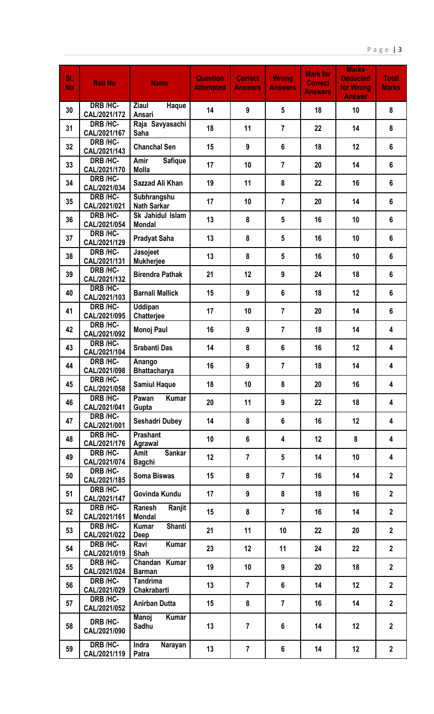| SI.<br><b>No</b> | <b>Roll No</b>                  | <b>Name</b>                            | <b>Question</b><br><b>Attempted</b> | <b>Correct</b><br><b>Answers</b> | <b>Wrong</b><br><b>Answers</b> | <b>Mark for</b><br><b>Correct</b><br><b>Answers</b> | <b>Marks</b><br><b>Deducted</b><br>for Wrong<br><b>Answer</b> | <b>Total</b><br><b>Marks</b> |
|------------------|---------------------------------|----------------------------------------|-------------------------------------|----------------------------------|--------------------------------|-----------------------------------------------------|---------------------------------------------------------------|------------------------------|
| 30               | DRB /HC-<br>CAL/2021/172        | <b>Ziaul</b><br>Haque<br><b>Ansari</b> | 14                                  | 9                                | 5                              | 18                                                  | 10                                                            | 8                            |
| 31               | DRB /HC-<br>CAL/2021/167        | Raja Savyasachi<br>Saha                | 18                                  | 11                               | $\overline{7}$                 | 22                                                  | 14                                                            | 8                            |
| 32               | DRB /HC-<br>CAL/2021/143        | <b>Chanchal Sen</b>                    | 15                                  | 9                                | 6                              | 18                                                  | 12                                                            | $6\phantom{1}$               |
| 33               | DRB /HC-<br>CAL/2021/170        | Amir<br><b>Safique</b><br><b>Molla</b> | 17                                  | 10                               | $\overline{7}$                 | 20                                                  | 14                                                            | $6\phantom{a}$               |
| 34               | DRB /HC-<br>CAL/2021/034        | Sazzad Ali Khan                        | 19                                  | 11                               | 8                              | 22                                                  | 16                                                            | 6                            |
| 35               | DRB /HC-<br>CAL/2021/021        | Subhrangshu<br><b>Nath Sarkar</b>      | 17                                  | 10                               | $\overline{7}$                 | 20                                                  | 14                                                            | $6\phantom{1}$               |
| 36               | <b>DRB /HC-</b><br>CAL/2021/054 | Sk Jahidul Islam<br><b>Mondal</b>      | 13                                  | 8                                | 5                              | 16                                                  | 10                                                            | $6\phantom{1}$               |
| 37               | DRB /HC-<br>CAL/2021/129        | <b>Pradyat Saha</b>                    | 13                                  | 8                                | $5\phantom{1}$                 | 16                                                  | 10                                                            | $6\phantom{1}$               |
| 38               | DRB /HC-<br>CAL/2021/131        | Jasojeet<br><b>Mukherjee</b>           | 13                                  | 8                                | 5                              | 16                                                  | 10                                                            | $6\phantom{1}$               |
| 39               | DRB /HC-<br>CAL/2021/132        | <b>Birendra Pathak</b>                 | 21                                  | 12                               | 9                              | 24                                                  | 18                                                            | $6\phantom{1}$               |
| 40               | DRB /HC-<br>CAL/2021/103        | <b>Barnali Mallick</b>                 | 15                                  | 9                                | 6                              | 18                                                  | 12                                                            | $6\phantom{1}$               |
| 41               | DRB /HC-<br>CAL/2021/095        | <b>Uddipan</b><br>Chatterjee           | 17                                  | 10                               | $\overline{7}$                 | 20                                                  | 14                                                            | $6\phantom{1}$               |
| 42               | DRB /HC-<br>CAL/2021/092        | <b>Monoj Paul</b>                      | 16                                  | 9                                | $\overline{7}$                 | 18                                                  | 14                                                            | 4                            |
| 43               | DRB /HC-<br>CAL/2021/104        | <b>Srabanti Das</b>                    | 14                                  | 8                                | 6                              | 16                                                  | 12                                                            | 4                            |
| 44               | DRB /HC-<br>CAL/2021/098        | Anango<br><b>Bhattacharya</b>          | 16                                  | 9                                | $\overline{7}$                 | 18                                                  | 14                                                            | 4                            |
| 45               | DRB /HC-<br>CAL/2021/058        | <b>Samiul Haque</b>                    | 18                                  | 10                               | 8                              | 20                                                  | 16                                                            | 4                            |
| 46               | DRB /HC-<br>CAL/2021/041        | Pawan<br><b>Kumar</b><br>Gupta         | 20                                  | 11                               | 9                              | 22                                                  | 18                                                            | 4                            |
| 47               | DRB /HC-<br>CAL/2021/001        | <b>Seshadri Dubey</b>                  | 14                                  | 8                                | $6\phantom{a}$                 | 16                                                  | 12                                                            | 4                            |
| 48               | DRB /HC-<br>CAL/2021/176        | Prashant<br>Agrawal                    | 10                                  | $6\phantom{1}$                   | 4                              | 12                                                  | 8                                                             | 4                            |
| 49               | DRB /HC-<br>CAL/2021/074        | <b>Sankar</b><br>Amit<br><b>Bagchi</b> | 12                                  | $\overline{7}$                   | $5\phantom{.0}$                | 14                                                  | 10                                                            | 4                            |
| 50               | DRB /HC-<br>CAL/2021/185        | <b>Soma Biswas</b>                     | 15                                  | 8                                | $\overline{7}$                 | 16                                                  | 14                                                            | $\overline{2}$               |
| 51               | DRB /HC-<br>CAL/2021/147        | Govinda Kundu                          | 17                                  | 9                                | 8                              | 18                                                  | 16                                                            | $\overline{2}$               |
| 52               | DRB /HC-<br>CAL/2021/161        | Ranesh<br>Ranjit<br><b>Mondal</b>      | 15                                  | 8                                | $\overline{7}$                 | 16                                                  | 14                                                            | $\overline{2}$               |
| 53               | DRB /HC-<br>CAL/2021/022        | Shanti<br><b>Kumar</b><br>Deep         | 21                                  | 11                               | 10                             | 22                                                  | 20                                                            | $\overline{2}$               |
| 54               | DRB /HC-<br>CAL/2021/019        | Ravi<br><b>Kumar</b><br>Shah           | 23                                  | 12                               | 11                             | 24                                                  | 22                                                            | $\overline{2}$               |
| 55               | DRB /HC-<br>CAL/2021/024        | Chandan Kumar<br><b>Barman</b>         | 19                                  | 10                               | 9                              | 20                                                  | 18                                                            | $\overline{2}$               |
| 56               | DRB /HC-<br>CAL/2021/029        | <b>Tandrima</b><br>Chakrabarti         | 13                                  | $\overline{7}$                   | 6                              | 14                                                  | 12                                                            | $\overline{2}$               |
| 57               | DRB /HC-<br>CAL/2021/052        | <b>Anirban Dutta</b>                   | 15                                  | 8                                | $\overline{7}$                 | 16                                                  | 14                                                            | $\overline{2}$               |
| 58               | DRB /HC-<br>CAL/2021/090        | Manoj<br><b>Kumar</b><br>Sadhu         | 13                                  | $\overline{7}$                   | 6                              | 14                                                  | 12                                                            | $\overline{2}$               |
| 59               | DRB /HC-<br>CAL/2021/119        | Indra<br>Narayan<br>Patra              | 13                                  | $\overline{7}$                   | 6                              | 14                                                  | 12                                                            | $\mathbf{2}$                 |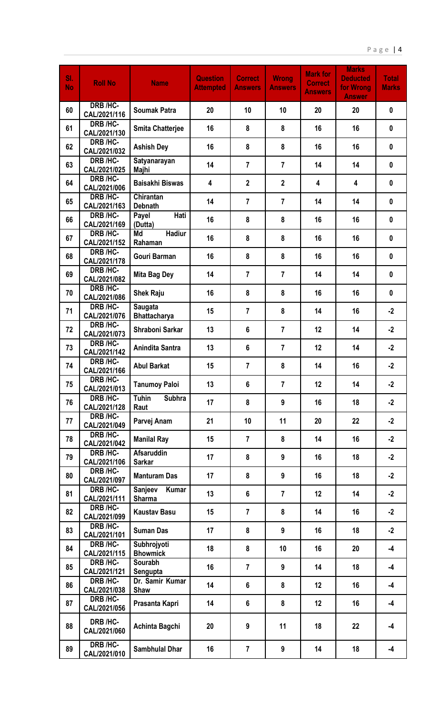| SI.<br><b>No</b> | <b>Roll No</b>                  | <b>Name</b>                           | <b>Question</b><br><b>Attempted</b> | <b>Correct</b><br><b>Answers</b> | <b>Wrong</b><br><b>Answers</b> | <b>Mark for</b><br><b>Correct</b><br><b>Answers</b> | <b>Marks</b><br><b>Deducted</b><br>for Wrong<br><b>Answer</b> | <b>Total</b><br><b>Marks</b> |
|------------------|---------------------------------|---------------------------------------|-------------------------------------|----------------------------------|--------------------------------|-----------------------------------------------------|---------------------------------------------------------------|------------------------------|
| 60               | DRB /HC-<br>CAL/2021/116        | <b>Soumak Patra</b>                   | 20                                  | 10                               | 10                             | 20                                                  | 20                                                            | $\mathbf{0}$                 |
| 61               | DRB /HC-<br>CAL/2021/130        | <b>Smita Chatterjee</b>               | 16                                  | 8                                | 8                              | 16                                                  | 16                                                            | $\mathbf{0}$                 |
| 62               | DRB /HC-<br>CAL/2021/032        | <b>Ashish Dey</b>                     | 16                                  | 8                                | 8                              | 16                                                  | 16                                                            | $\mathbf 0$                  |
| 63               | DRB /HC-<br>CAL/2021/025        | Satyanarayan<br>Majhi                 | 14                                  | $\overline{7}$                   | $\overline{7}$                 | 14                                                  | 14                                                            | $\mathbf{0}$                 |
| 64               | DRB /HC-<br>CAL/2021/006        | <b>Baisakhi Biswas</b>                | 4                                   | $\overline{2}$                   | $\mathbf{2}$                   | 4                                                   | 4                                                             | $\mathbf{0}$                 |
| 65               | DRB /HC-<br>CAL/2021/163        | Chirantan<br><b>Debnath</b>           | 14                                  | $\overline{7}$                   | $\overline{7}$                 | 14                                                  | 14                                                            | $\mathbf{0}$                 |
| 66               | <b>DRB /HC-</b><br>CAL/2021/169 | Hati<br>Payel<br>(Dutta)              | 16                                  | 8                                | 8                              | 16                                                  | 16                                                            | $\mathbf{0}$                 |
| 67               | DRB /HC-<br>CAL/2021/152        | Md<br><b>Hadiur</b><br>Rahaman        | 16                                  | 8                                | 8                              | 16                                                  | 16                                                            | $\mathbf{0}$                 |
| 68               | DRB /HC-<br>CAL/2021/178        | <b>Gouri Barman</b>                   | 16                                  | 8                                | 8                              | 16                                                  | 16                                                            | $\mathbf 0$                  |
| 69               | DRB /HC-<br>CAL/2021/082        | <b>Mita Bag Dey</b>                   | 14                                  | $\overline{7}$                   | $\overline{7}$                 | 14                                                  | 14                                                            | $\mathbf 0$                  |
| 70               | DRB /HC-<br>CAL/2021/086        | <b>Shek Raju</b>                      | 16                                  | 8                                | 8                              | 16                                                  | 16                                                            | $\mathbf{0}$                 |
| 71               | DRB /HC-<br>CAL/2021/076        | <b>Saugata</b><br><b>Bhattacharya</b> | 15                                  | $\overline{7}$                   | 8                              | 14                                                  | 16                                                            | $-2$                         |
| 72               | DRB /HC-<br>CAL/2021/073        | Shraboni Sarkar                       | 13                                  | 6                                | $\overline{7}$                 | 12                                                  | 14                                                            | $-2$                         |
| 73               | DRB /HC-<br>CAL/2021/142        | Anindita Santra                       | 13                                  | 6                                | $\overline{7}$                 | 12                                                  | 14                                                            | $-2$                         |
| 74               | DRB /HC-<br>CAL/2021/166        | <b>Abul Barkat</b>                    | 15                                  | $\overline{7}$                   | 8                              | 14                                                  | 16                                                            | $-2$                         |
| 75               | DRB /HC-<br>CAL/2021/013        | <b>Tanumoy Paloi</b>                  | 13                                  | $6\phantom{1}$                   | $\overline{7}$                 | 12                                                  | 14                                                            | $-2$                         |
| 76               | <b>DRB /HC-</b><br>CAL/2021/128 | <b>Tuhin</b><br><b>Subhra</b><br>Raut | 17                                  | 8                                | 9                              | 16                                                  | 18                                                            | $-2$                         |
| 77               | DRB /HC-<br>CAL/2021/049        | Parvej Anam                           | 21                                  | 10                               | 11                             | 20                                                  | 22                                                            | $-2$                         |
| 78               | DRB /HC-<br>CAL/2021/042        | <b>Manilal Ray</b>                    | 15                                  | $\overline{7}$                   | 8                              | 14                                                  | 16                                                            | $-2$                         |
| 79               | DRB /HC-<br>CAL/2021/106        | <b>Afsaruddin</b><br><b>Sarkar</b>    | 17                                  | 8                                | 9                              | 16                                                  | 18                                                            | $-2$                         |
| 80               | DRB /HC-<br>CAL/2021/097        | <b>Manturam Das</b>                   | 17                                  | 8                                | 9                              | 16                                                  | 18                                                            | $-2$                         |
| 81               | DRB /HC-<br>CAL/2021/111        | Sanjeev<br>Kumar<br><b>Sharma</b>     | 13                                  | $6\phantom{1}$                   | $\overline{7}$                 | 12                                                  | 14                                                            | $-2$                         |
| 82               | DRB /HC-<br>CAL/2021/099        | <b>Kaustav Basu</b>                   | 15                                  | $\overline{7}$                   | 8                              | 14                                                  | 16                                                            | $-2$                         |
| 83               | DRB /HC-<br>CAL/2021/101        | <b>Suman Das</b>                      | 17                                  | 8                                | 9                              | 16                                                  | 18                                                            | $-2$                         |
| 84               | DRB /HC-<br>CAL/2021/115        | Subhrojyoti<br><b>Bhowmick</b>        | 18                                  | 8                                | 10                             | 16                                                  | 20                                                            | -4                           |
| 85               | DRB /HC-<br>CAL/2021/121        | Sourabh<br>Sengupta                   | 16                                  | $\overline{7}$                   | 9                              | 14                                                  | 18                                                            | $-4$                         |
| 86               | DRB /HC-<br>CAL/2021/038        | Dr. Samir Kumar<br>Shaw               | 14                                  | $6\phantom{a}$                   | 8                              | 12                                                  | 16                                                            | $-4$                         |
| 87               | DRB /HC-<br>CAL/2021/056        | Prasanta Kapri                        | 14                                  | $6\phantom{1}$                   | 8                              | 12                                                  | 16                                                            | $-4$                         |
| 88               | DRB /HC-<br>CAL/2021/060        | Achinta Bagchi                        | 20                                  | 9                                | 11                             | 18                                                  | 22                                                            | $-4$                         |
| 89               | DRB /HC-<br>CAL/2021/010        | <b>Sambhulal Dhar</b>                 | 16                                  | $\overline{7}$                   | 9                              | 14                                                  | 18                                                            | -4                           |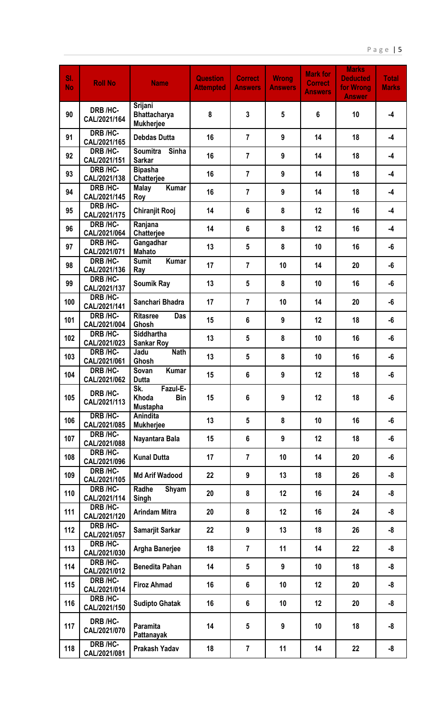| SI.<br><b>No</b> | <b>Roll No</b>           | <b>Name</b>                                               | <b>Question</b><br><b>Attempted</b> | <b>Correct</b><br><b>Answers</b> | <b>Wrong</b><br><b>Answers</b> | <b>Mark for</b><br><b>Correct</b><br><b>Answers</b> | <b>Marks</b><br><b>Deducted</b><br>for Wrong<br><b>Answer</b> | <b>Total</b><br><b>Marks</b> |
|------------------|--------------------------|-----------------------------------------------------------|-------------------------------------|----------------------------------|--------------------------------|-----------------------------------------------------|---------------------------------------------------------------|------------------------------|
| 90               | DRB /HC-<br>CAL/2021/164 | Srijani<br><b>Bhattacharya</b><br><b>Mukherjee</b>        | 8                                   | $\mathbf{3}$                     | 5                              | 6                                                   | 10                                                            | $-4$                         |
| 91               | DRB /HC-<br>CAL/2021/165 | <b>Debdas Dutta</b>                                       | 16                                  | $\overline{7}$                   | 9                              | 14                                                  | 18                                                            | $-4$                         |
| 92               | DRB /HC-<br>CAL/2021/151 | <b>Soumitra</b><br><b>Sinha</b><br><b>Sarkar</b>          | 16                                  | $\overline{7}$                   | 9                              | 14                                                  | 18                                                            | $-4$                         |
| 93               | DRB /HC-<br>CAL/2021/138 | <b>Bipasha</b><br>Chatterjee                              | 16                                  | $\overline{7}$                   | 9                              | 14                                                  | 18                                                            | $-4$                         |
| 94               | DRB /HC-<br>CAL/2021/145 | <b>Kumar</b><br><b>Malay</b><br>Roy                       | 16                                  | $\overline{7}$                   | 9                              | 14                                                  | 18                                                            | $-4$                         |
| 95               | DRB /HC-<br>CAL/2021/175 | <b>Chiranjit Rooj</b>                                     | 14                                  | 6                                | 8                              | 12                                                  | 16                                                            | $-4$                         |
| 96               | DRB /HC-<br>CAL/2021/064 | Ranjana<br>Chatterjee                                     | 14                                  | 6                                | 8                              | 12                                                  | 16                                                            | $-4$                         |
| 97               | DRB /HC-<br>CAL/2021/071 | Gangadhar<br><b>Mahato</b>                                | 13                                  | $5\phantom{.0}$                  | 8                              | 10                                                  | 16                                                            | -6                           |
| 98               | DRB /HC-<br>CAL/2021/136 | <b>Sumit</b><br>Kumar<br>Ray                              | 17                                  | $\overline{7}$                   | 10                             | 14                                                  | 20                                                            | -6                           |
| 99               | DRB /HC-<br>CAL/2021/137 | <b>Soumik Ray</b>                                         | 13                                  | $5\phantom{.0}$                  | 8                              | 10                                                  | 16                                                            | -6                           |
| 100              | DRB /HC-<br>CAL/2021/141 | Sanchari Bhadra                                           | 17                                  | $\overline{7}$                   | 10                             | 14                                                  | 20                                                            | -6                           |
| 101              | DRB /HC-<br>CAL/2021/004 | <b>Ritasree</b><br>Das<br>Ghosh                           | 15                                  | 6                                | 9                              | 12                                                  | 18                                                            | -6                           |
| 102              | DRB /HC-<br>CAL/2021/023 | Siddhartha<br><b>Sankar Roy</b>                           | 13                                  | 5                                | 8                              | 10                                                  | 16                                                            | -6                           |
| 103              | DRB /HC-<br>CAL/2021/061 | <b>Nath</b><br>Jadu<br>Ghosh                              | 13                                  | $5\phantom{.0}$                  | 8                              | 10                                                  | 16                                                            | -6                           |
| 104              | DRB /HC-<br>CAL/2021/062 | <b>Kumar</b><br>Sovan<br><b>Dutta</b>                     | 15                                  | $6\phantom{1}$                   | 9                              | 12                                                  | 18                                                            | -6                           |
| 105              | DRB /HC-<br>CAL/2021/113 | Sk.<br>Fazul-E-<br>Khoda<br><b>Bin</b><br><b>Mustapha</b> | 15                                  | 6                                | 9                              | 12                                                  | 18                                                            | -6                           |
| 106              | DRB /HC-<br>CAL/2021/085 | Anindita<br><b>Mukherjee</b>                              | 13                                  | $5\phantom{.0}$                  | 8                              | 10                                                  | 16                                                            | -6                           |
| 107              | DRB /HC-<br>CAL/2021/088 | Nayantara Bala                                            | 15                                  | $6\phantom{1}$                   | 9                              | 12                                                  | 18                                                            | -6                           |
| 108              | DRB /HC-<br>CAL/2021/096 | <b>Kunal Dutta</b>                                        | 17                                  | $\overline{7}$                   | 10                             | 14                                                  | 20                                                            | -6                           |
| 109              | DRB /HC-<br>CAL/2021/105 | <b>Md Arif Wadood</b>                                     | 22                                  | 9                                | 13                             | 18                                                  | 26                                                            | -8                           |
| 110              | DRB /HC-<br>CAL/2021/114 | Radhe<br>Shyam<br>Singh                                   | 20                                  | 8                                | 12                             | 16                                                  | 24                                                            | -8                           |
| 111              | DRB /HC-<br>CAL/2021/120 | <b>Arindam Mitra</b>                                      | 20                                  | 8                                | 12                             | 16                                                  | 24                                                            | -8                           |
| 112              | DRB /HC-<br>CAL/2021/057 | Samarjit Sarkar                                           | 22                                  | 9                                | 13                             | 18                                                  | 26                                                            | -8                           |
| 113              | DRB /HC-<br>CAL/2021/030 | Argha Banerjee                                            | 18                                  | $\overline{7}$                   | 11                             | 14                                                  | 22                                                            | -8                           |
| 114              | DRB /HC-<br>CAL/2021/012 | <b>Benedita Pahan</b>                                     | 14                                  | 5                                | 9                              | 10                                                  | 18                                                            | -8                           |
| 115              | DRB /HC-<br>CAL/2021/014 | <b>Firoz Ahmad</b>                                        | 16                                  | $6\phantom{1}$                   | 10                             | 12                                                  | 20                                                            | -8                           |
| 116              | DRB /HC-<br>CAL/2021/150 | <b>Sudipto Ghatak</b>                                     | 16                                  | $6\phantom{1}$                   | 10                             | 12                                                  | 20                                                            | -8                           |
| 117              | DRB /HC-<br>CAL/2021/070 | Paramita<br>Pattanayak                                    | 14                                  | 5                                | 9                              | 10                                                  | 18                                                            | -8                           |
| 118              | DRB /HC-<br>CAL/2021/081 | Prakash Yadav                                             | 18                                  | $\overline{7}$                   | 11                             | 14                                                  | 22                                                            | -8                           |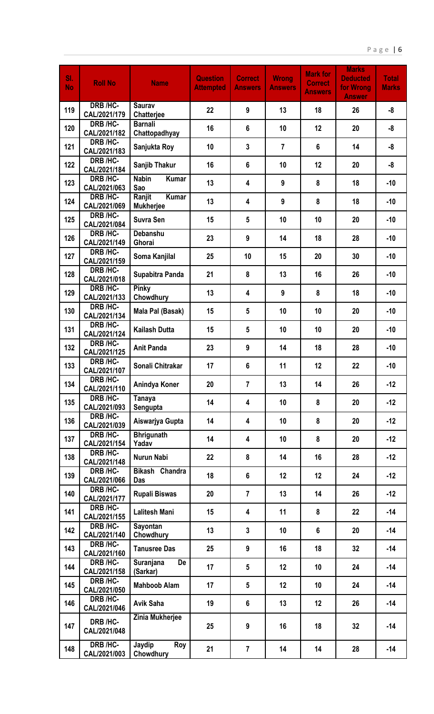| SI.<br><b>No</b> | <b>Roll No</b>                 | <b>Name</b>                                | <b>Question</b><br><b>Attempted</b> | <b>Correct</b><br><b>Answers</b> | <b>Wrong</b><br><b>Answers</b> | <b>Mark for</b><br><b>Correct</b><br><b>Answers</b> | <b>Marks</b><br><b>Deducted</b><br>for Wrong<br><b>Answer</b> | <b>Total</b><br><b>Marks</b> |
|------------------|--------------------------------|--------------------------------------------|-------------------------------------|----------------------------------|--------------------------------|-----------------------------------------------------|---------------------------------------------------------------|------------------------------|
| 119              | DRB /HC-<br>CAL/2021/179       | <b>Saurav</b><br><b>Chatteriee</b>         | 22                                  | 9                                | 13                             | 18                                                  | 26                                                            | -8                           |
| 120              | DRB /HC-<br>CAL/2021/182       | <b>Barnali</b><br>Chattopadhyay            | 16                                  | 6                                | 10                             | 12                                                  | 20                                                            | -8                           |
| 121              | DRB /HC-<br>CAL/2021/183       | Sanjukta Roy                               | 10                                  | $\mathbf{3}$                     | $\overline{7}$                 | $6\phantom{1}$                                      | 14                                                            | -8                           |
| 122              | DRB /HC-<br>CAL/2021/184       | Sanjib Thakur                              | 16                                  | 6                                | 10                             | 12                                                  | 20                                                            | -8                           |
| 123              | DRB /HC-<br>CAL/2021/063       | <b>Nabin</b><br><b>Kumar</b><br>Sao        | 13                                  | 4                                | 9                              | 8                                                   | 18                                                            | $-10$                        |
| 124              | DRB /HC-<br>CAL/2021/069       | <b>Kumar</b><br>Ranjit<br><b>Mukherjee</b> | 13                                  | 4                                | 9                              | 8                                                   | 18                                                            | $-10$                        |
| 125              | DRB /HC-<br>CAL/2021/084       | <b>Suvra Sen</b>                           | 15                                  | $5\phantom{.0}$                  | 10                             | 10                                                  | 20                                                            | $-10$                        |
| 126              | DRB /HC-<br>CAL/2021/149       | <b>Debanshu</b><br>Ghorai                  | 23                                  | 9                                | 14                             | 18                                                  | 28                                                            | $-10$                        |
| 127              | DRB /HC-<br>CAL/2021/159       | Soma Kanjilal                              | 25                                  | 10                               | 15                             | 20                                                  | 30                                                            | $-10$                        |
| 128              | DRB /HC-<br>CAL/2021/018       | Supabitra Panda                            | 21                                  | 8                                | 13                             | 16                                                  | 26                                                            | $-10$                        |
| 129              | DRB /HC-<br>CAL/2021/133       | Pinky<br>Chowdhury                         | 13                                  | 4                                | 9                              | 8                                                   | 18                                                            | $-10$                        |
| 130              | DRB /HC-<br>CAL/2021/134       | Mala Pal (Basak)                           | 15                                  | 5                                | 10                             | 10                                                  | 20                                                            | $-10$                        |
| 131              | DRB /HC-<br>CAL/2021/124       | <b>Kailash Dutta</b>                       | 15                                  | 5                                | 10                             | 10                                                  | 20                                                            | $-10$                        |
| 132              | DRB /HC-<br>CAL/2021/125       | <b>Anit Panda</b>                          | 23                                  | 9                                | 14                             | 18                                                  | 28                                                            | $-10$                        |
| 133              | DRB /HC-<br>CAL/2021/107       | Sonali Chitrakar                           | 17                                  | $6\phantom{1}$                   | 11                             | 12                                                  | 22                                                            | $-10$                        |
| 134              | DRB /HC-<br>CAL/2021/110       | Anindya Koner                              | 20                                  | $\overline{7}$                   | 13                             | 14                                                  | 26                                                            | $-12$                        |
| 135              | DRB /HC-<br>CAL/2021/093       | <b>Tanaya</b><br>Sengupta                  | 14                                  | $\overline{\mathbf{4}}$          | 10                             | 8                                                   | 20                                                            | $-12$                        |
| 136              | DRB /HC-<br>CAL/2021/039       | Aiswarjya Gupta                            | 14                                  | $\overline{\mathbf{4}}$          | 10                             | 8                                                   | 20                                                            | $-12$                        |
| 137              | DRB /HC-<br>CAL/2021/154       | <b>Bhrigunath</b><br>Yadav                 | 14                                  | 4                                | 10                             | 8                                                   | 20                                                            | $-12$                        |
| 138              | DRB /HC-<br>CAL/2021/148       | <b>Nurun Nabi</b>                          | 22                                  | 8                                | 14                             | 16                                                  | 28                                                            | $-12$                        |
| 139              | DRB /HC-<br>CAL/2021/066       | Bikash Chandra<br>Das                      | 18                                  | $6\phantom{1}$                   | 12                             | 12                                                  | 24                                                            | $-12$                        |
| 140              | DRB /HC-<br>CAL/2021/177       | <b>Rupali Biswas</b>                       | 20                                  | $\overline{7}$                   | 13                             | 14                                                  | 26                                                            | $-12$                        |
| 141              | DRB /HC-<br>CAL/2021/155       | <b>Lalitesh Mani</b>                       | 15                                  | $\overline{\mathbf{4}}$          | 11                             | 8                                                   | 22                                                            | $-14$                        |
| 142              | DRB /HC-<br>CAL/2021/140       | Sayontan<br>Chowdhury                      | 13                                  | $\overline{3}$                   | 10                             | 6                                                   | 20                                                            | $-14$                        |
| 143              | DRB /HC-<br>CAL/2021/160       | <b>Tanusree Das</b>                        | 25                                  | 9                                | 16                             | 18                                                  | 32                                                            | $-14$                        |
| 144              | DRB /HC-<br>CAL/2021/158       | Suranjana<br>De<br>(Sarkar)                | 17                                  | $5\phantom{.0}$                  | 12                             | 10                                                  | 24                                                            | $-14$                        |
| 145              | DRB /HC-<br>CAL/2021/050       | <b>Mahboob Alam</b>                        | 17                                  | $5\phantom{.0}$                  | 12                             | 10                                                  | 24                                                            | $-14$                        |
| 146              | DRB /HC-<br>CAL/2021/046       | <b>Avik Saha</b>                           | 19                                  | $6\phantom{1}$                   | 13                             | 12                                                  | 26                                                            | $-14$                        |
| 147              | DRB /HC-<br>CAL/2021/048       | Zinia Mukherjee                            | 25                                  | 9                                | 16                             | 18                                                  | 32                                                            | $-14$                        |
| 148              | <b>DRB/HC-</b><br>CAL/2021/003 | Jaydip<br>Roy<br>Chowdhury                 | 21                                  | $\overline{7}$                   | 14                             | 14                                                  | 28                                                            | $-14$                        |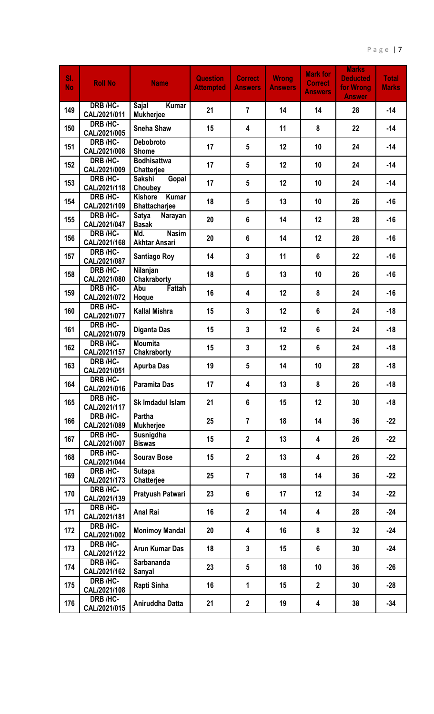| SI.<br><b>No</b> | <b>Roll No</b>           | <b>Name</b>                                            | <b>Question</b><br><b>Attempted</b> | <b>Correct</b><br><b>Answers</b> | <b>Wrong</b><br><b>Answers</b> | <b>Mark for</b><br><b>Correct</b><br><b>Answers</b> | <b>Marks</b><br><b>Deducted</b><br>for Wrong<br><b>Answer</b> | <b>Total</b><br><b>Marks</b> |
|------------------|--------------------------|--------------------------------------------------------|-------------------------------------|----------------------------------|--------------------------------|-----------------------------------------------------|---------------------------------------------------------------|------------------------------|
| 149              | DRB /HC-<br>CAL/2021/011 | Sajal<br><b>Kumar</b><br><b>Mukherjee</b>              | 21                                  | $\overline{7}$                   | 14                             | 14                                                  | 28                                                            | $-14$                        |
| 150              | DRB /HC-<br>CAL/2021/005 | <b>Sneha Shaw</b>                                      | 15                                  | 4                                | 11                             | 8                                                   | 22                                                            | $-14$                        |
| 151              | DRB /HC-<br>CAL/2021/008 | <b>Debobroto</b><br><b>Shome</b>                       | 17                                  | 5                                | 12                             | 10                                                  | 24                                                            | $-14$                        |
| 152              | DRB /HC-<br>CAL/2021/009 | <b>Bodhisattwa</b><br>Chatterjee                       | 17                                  | 5                                | 12                             | 10                                                  | 24                                                            | $-14$                        |
| 153              | DRB /HC-<br>CAL/2021/118 | <b>Gopal</b><br>Sakshi<br>Choubey                      | 17                                  | 5                                | 12                             | 10                                                  | 24                                                            | $-14$                        |
| 154              | DRB /HC-<br>CAL/2021/109 | <b>Kumar</b><br><b>Kishore</b><br><b>Bhattacharjee</b> | 18                                  | $5\phantom{.0}$                  | 13                             | 10                                                  | 26                                                            | $-16$                        |
| 155              | DRB /HC-<br>CAL/2021/047 | Satya<br>Narayan<br><b>Basak</b>                       | 20                                  | $6\phantom{a}$                   | 14                             | 12                                                  | 28                                                            | $-16$                        |
| 156              | DRB /HC-<br>CAL/2021/168 | Md.<br><b>Nasim</b><br><b>Akhtar Ansari</b>            | 20                                  | 6                                | 14                             | 12                                                  | 28                                                            | $-16$                        |
| 157              | DRB /HC-<br>CAL/2021/087 | <b>Santiago Roy</b>                                    | 14                                  | 3                                | 11                             | 6                                                   | 22                                                            | $-16$                        |
| 158              | DRB /HC-<br>CAL/2021/080 | Nilanjan<br>Chakraborty                                | 18                                  | 5                                | 13                             | 10                                                  | 26                                                            | $-16$                        |
| 159              | DRB /HC-<br>CAL/2021/072 | Fattah<br>Abu<br>Hoque                                 | 16                                  | 4                                | 12                             | 8                                                   | 24                                                            | $-16$                        |
| 160              | DRB /HC-<br>CAL/2021/077 | <b>Kallal Mishra</b>                                   | 15                                  | $\overline{3}$                   | 12                             | 6                                                   | 24                                                            | $-18$                        |
| 161              | DRB /HC-<br>CAL/2021/079 | <b>Diganta Das</b>                                     | 15                                  | $\overline{3}$                   | 12                             | 6                                                   | 24                                                            | $-18$                        |
| 162              | DRB /HC-<br>CAL/2021/157 | <b>Moumita</b><br>Chakraborty                          | 15                                  | 3                                | 12                             | 6                                                   | 24                                                            | $-18$                        |
| 163              | DRB /HC-<br>CAL/2021/051 | <b>Apurba Das</b>                                      | 19                                  | 5                                | 14                             | 10                                                  | 28                                                            | $-18$                        |
| 164              | DRB /HC-<br>CAL/2021/016 | <b>Paramita Das</b>                                    | 17                                  | 4                                | 13                             | 8                                                   | 26                                                            | $-18$                        |
| 165              | DRB /HC-<br>CAL/2021/117 | Sk Imdadul Islam                                       | 21                                  | $6\phantom{a}$                   | 15                             | 12                                                  | 30                                                            | $-18$                        |
| 166              | DRB /HC-<br>CAL/2021/089 | Partha<br><b>Mukherjee</b>                             | 25                                  | $\overline{7}$                   | 18                             | 14                                                  | 36                                                            | $-22$                        |
| 167              | DRB /HC-<br>CAL/2021/007 | Susnigdha<br><b>Biswas</b>                             | 15                                  | $\mathbf{2}$                     | 13                             | 4                                                   | 26                                                            | $-22$                        |
| 168              | DRB /HC-<br>CAL/2021/044 | <b>Sourav Bose</b>                                     | 15                                  | $\overline{2}$                   | 13                             | 4                                                   | 26                                                            | $-22$                        |
| 169              | DRB /HC-<br>CAL/2021/173 | <b>Sutapa</b><br>Chatterjee                            | 25                                  | $\overline{7}$                   | 18                             | 14                                                  | 36                                                            | $-22$                        |
| 170              | DRB /HC-<br>CAL/2021/139 | Pratyush Patwari                                       | 23                                  | $6\phantom{a}$                   | 17                             | 12                                                  | 34                                                            | $-22$                        |
| 171              | DRB /HC-<br>CAL/2021/181 | <b>Anal Rai</b>                                        | 16                                  | $\overline{2}$                   | 14                             | 4                                                   | 28                                                            | $-24$                        |
| 172              | DRB /HC-<br>CAL/2021/002 | <b>Monimoy Mandal</b>                                  | 20                                  | 4                                | 16                             | 8                                                   | 32                                                            | $-24$                        |
| 173              | DRB /HC-<br>CAL/2021/122 | <b>Arun Kumar Das</b>                                  | 18                                  | $\mathbf{3}$                     | 15                             | 6                                                   | 30                                                            | $-24$                        |
| 174              | DRB /HC-<br>CAL/2021/162 | Sarbananda<br>Sanyal                                   | 23                                  | $5\phantom{.0}$                  | 18                             | 10                                                  | 36                                                            | $-26$                        |
| 175              | DRB /HC-<br>CAL/2021/108 | Rapti Sinha                                            | 16                                  | 1                                | 15                             | $\overline{2}$                                      | 30                                                            | $-28$                        |
| 176              | DRB /HC-<br>CAL/2021/015 | Aniruddha Datta                                        | 21                                  | $\mathbf{2}$                     | 19                             | 4                                                   | 38                                                            | $-34$                        |